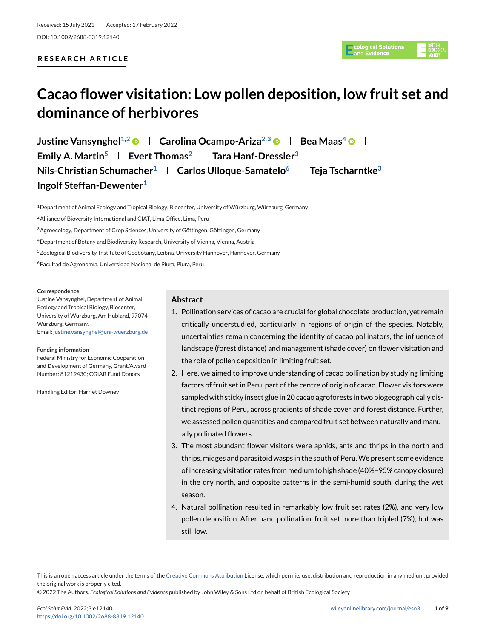DOI: 10.1002/2688-8319.12140

# **RESEARCH ARTICLE**



# **Cacao flower visitation: Low pollen deposition, low fruit set and dominance of herbivores**

**Justine Vansynghel<sup>1,2</sup> © Fearolina Ocampo-Ariza<sup>2,3</sup> © Fea Maas<sup>4</sup> © F Emily A. Martin<sup>5</sup> | Evert Thomas<sup>2</sup> | Tara Hanf-Dressler<sup>3</sup> | Nils-Christian Schumacher<sup>1</sup> | Carlos Ulloque-Samatelo<sup>6</sup> | Teja Tscharntke<sup>3</sup> | Ingolf Steffan-Dewenter1**

1Department of Animal Ecology and Tropical Biology, Biocenter, University of Würzburg, Würzburg, Germany

<sup>2</sup> Alliance of Bioversity International and CIAT, Lima Office, Lima, Peru

<sup>3</sup> Agroecology, Department of Crop Sciences, University of Göttingen, Göttingen, Germany

4Department of Botany and Biodiversity Research, University of Vienna, Vienna, Austria

<sup>5</sup> Zoological Biodiversity, Institute of Geobotany, Leibniz University Hannover, Hannover, Germany

6Facultad de Agronomía, Universidad Nacional de Piura, Piura, Peru

#### **Correspondence**

Justine Vansynghel, Department of Animal Ecology and Tropical Biology, Biocenter, University of Würzburg, Am Hubland, 97074 Würzburg, Germany. Email: [justine.vansynghel@uni-wuerzburg.de](mailto:justine.vansynghel@uni-wuerzburg.de)

#### **Funding information**

Federal Ministry for Economic Cooperation and Development of Germany, Grant/Award Number: 81219430; CGIAR Fund Donors

Handling Editor: Harriet Downey

#### **Abstract**

- 1. Pollination services of cacao are crucial for global chocolate production, yet remain critically understudied, particularly in regions of origin of the species. Notably, uncertainties remain concerning the identity of cacao pollinators, the influence of landscape (forest distance) and management (shade cover) on flower visitation and the role of pollen deposition in limiting fruit set.
- 2. Here, we aimed to improve understanding of cacao pollination by studying limiting factors of fruit set in Peru, part of the centre of origin of cacao. Flower visitors were sampled with sticky insect glue in 20 cacao agroforests in two biogeographically distinct regions of Peru, across gradients of shade cover and forest distance. Further, we assessed pollen quantities and compared fruit set between naturally and manually pollinated flowers.
- 3. The most abundant flower visitors were aphids, ants and thrips in the north and thrips, midges and parasitoid wasps in the south of Peru.We present some evidence of increasing visitation rates from medium to high shade (40%–95% canopy closure) in the dry north, and opposite patterns in the semi-humid south, during the wet season.
- 4. Natural pollination resulted in remarkably low fruit set rates (2%), and very low pollen deposition. After hand pollination, fruit set more than tripled (7%), but was still low.

This is an open access article under the terms of the [Creative Commons Attribution](http://creativecommons.org/licenses/by/4.0/) License, which permits use, distribution and reproduction in any medium, provided the original work is properly cited.

© 2022 The Authors. *Ecological Solutions and Evidence* published by John Wiley & Sons Ltd on behalf of British Ecological Society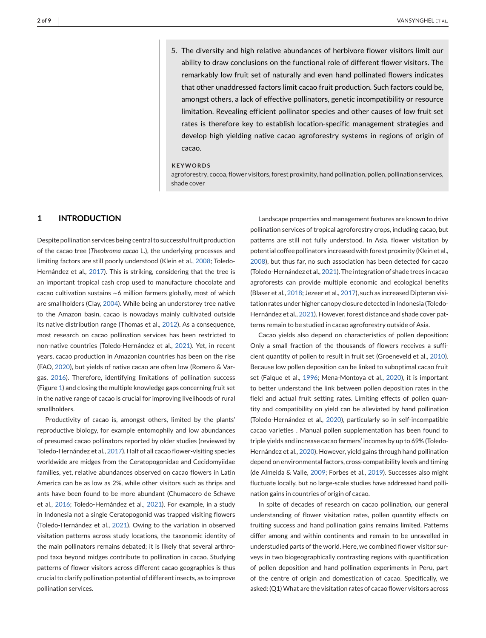5. The diversity and high relative abundances of herbivore flower visitors limit our ability to draw conclusions on the functional role of different flower visitors. The remarkably low fruit set of naturally and even hand pollinated flowers indicates that other unaddressed factors limit cacao fruit production. Such factors could be, amongst others, a lack of effective pollinators, genetic incompatibility or resource limitation. Revealing efficient pollinator species and other causes of low fruit set rates is therefore key to establish location-specific management strategies and develop high yielding native cacao agroforestry systems in regions of origin of cacao.

#### **KEYWORDS**

agroforestry, cocoa, flower visitors, forest proximity, hand pollination, pollen, pollination services, shade cover

# **1 INTRODUCTION**

Despite pollination services being central to successful fruit production of the cacao tree (*Theobroma cacao* L.), the underlying processes and limiting factors are still poorly understood (Klein et al., [2008;](#page-7-0) Toledo-Hernández et al., [2017\)](#page-8-0). This is striking, considering that the tree is an important tropical cash crop used to manufacture chocolate and cacao cultivation sustains <sup>∼</sup>6 million farmers globally, most of which are smallholders (Clay, [2004\)](#page-7-0). While being an understorey tree native to the Amazon basin, cacao is nowadays mainly cultivated outside its native distribution range (Thomas et al., [2012\)](#page-8-0). As a consequence, most research on cacao pollination services has been restricted to non-native countries (Toledo-Hernández et al., [2021\)](#page-8-0). Yet, in recent years, cacao production in Amazonian countries has been on the rise (FAO, [2020\)](#page-7-0), but yields of native cacao are often low (Romero & Vargas, [2016\)](#page-8-0). Therefore, identifying limitations of pollination success (Figure [1\)](#page-2-0) and closing the multiple knowledge gaps concerning fruit set in the native range of cacao is crucial for improving livelihoods of rural smallholders.

Productivity of cacao is, amongst others, limited by the plants' reproductive biology, for example entomophily and low abundances of presumed cacao pollinators reported by older studies (reviewed by Toledo-Hernández et al., [2017\)](#page-8-0). Half of all cacao flower-visiting species worldwide are midges from the Ceratopogonidae and Cecidomyiidae families, yet, relative abundances observed on cacao flowers in Latin America can be as low as 2%, while other visitors such as thrips and ants have been found to be more abundant (Chumacero de Schawe et al., [2016;](#page-7-0) Toledo-Hernández et al., [2021\)](#page-8-0). For example, in a study in Indonesia not a single Ceratopogonid was trapped visiting flowers (Toledo-Hernández et al., [2021\)](#page-8-0). Owing to the variation in observed visitation patterns across study locations, the taxonomic identity of the main pollinators remains debated; it is likely that several arthropod taxa beyond midges contribute to pollination in cacao. Studying patterns of flower visitors across different cacao geographies is thus crucial to clarify pollination potential of different insects, as to improve pollination services.

Landscape properties and management features are known to drive pollination services of tropical agroforestry crops, including cacao, but patterns are still not fully understood. In Asia, flower visitation by potential coffee pollinators increased with forest proximity (Klein et al., [2008\)](#page-7-0), but thus far, no such association has been detected for cacao (Toledo-Hernández et al., [2021\)](#page-8-0). The integration of shade trees in cacao agroforests can provide multiple economic and ecological benefits (Blaser et al., [2018;](#page-7-0) Jezeer et al., [2017\)](#page-7-0), such as increased Dipteran visitation rates under higher canopy closure detected in Indonesia (Toledo-Hernández et al., [2021\)](#page-8-0). However, forest distance and shade cover patterns remain to be studied in cacao agroforestry outside of Asia.

Cacao yields also depend on characteristics of pollen deposition: Only a small fraction of the thousands of flowers receives a sufficient quantity of pollen to result in fruit set (Groeneveld et al., [2010\)](#page-7-0). Because low pollen deposition can be linked to suboptimal cacao fruit set (Falque et al., [1996;](#page-7-0) Mena-Montoya et al., [2020\)](#page-8-0), it is important to better understand the link between pollen deposition rates in the field and actual fruit setting rates. Limiting effects of pollen quantity and compatibility on yield can be alleviated by hand pollination (Toledo-Hernández et al., [2020\)](#page-8-0), particularly so in self-incompatible cacao varieties . Manual pollen supplementation has been found to triple yields and increase cacao farmers' incomes by up to 69% (Toledo-Hernández et al., [2020\)](#page-8-0). However, yield gains through hand pollination depend on environmental factors, cross-compatibility levels and timing (de Almeida & Valle, [2009;](#page-7-0) Forbes et al., [2019\)](#page-7-0). Successes also might fluctuate locally, but no large-scale studies have addressed hand pollination gains in countries of origin of cacao.

In spite of decades of research on cacao pollination, our general understanding of flower visitation rates, pollen quantity effects on fruiting success and hand pollination gains remains limited. Patterns differ among and within continents and remain to be unravelled in understudied parts of the world. Here, we combined flower visitor surveys in two biogeographically contrasting regions with quantification of pollen deposition and hand pollination experiments in Peru, part of the centre of origin and domestication of cacao. Specifically, we asked: (Q1)What are the visitation rates of cacao flower visitors across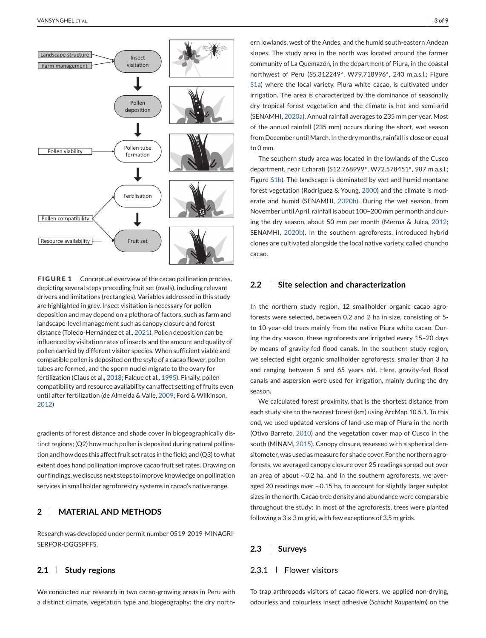<span id="page-2-0"></span>

**FIGURE 1** Conceptual overview of the cacao pollination process, depicting several steps preceding fruit set (ovals), including relevant drivers and limitations (rectangles). Variables addressed in this study are highlighted in grey. Insect visitation is necessary for pollen deposition and may depend on a plethora of factors, such as farm and landscape-level management such as canopy closure and forest distance (Toledo-Hernández et al., [2021\)](#page-8-0). Pollen deposition can be influenced by visitation rates of insects and the amount and quality of pollen carried by different visitor species. When sufficient viable and compatible pollen is deposited on the style of a cacao flower, pollen tubes are formed, and the sperm nuclei migrate to the ovary for fertilization (Claus et al., [2018;](#page-7-0) Falque et al., [1995\)](#page-7-0). Finally, pollen compatibility and resource availability can affect setting of fruits even until after fertilization (de Almeida & Valle, [2009;](#page-7-0) Ford & Wilkinson, [2012\)](#page-7-0)

gradients of forest distance and shade cover in biogeographically distinct regions; (Q2) how much pollen is deposited during natural pollination and how does this affect fruit set rates in the field; and (Q3) to what extent does hand pollination improve cacao fruit set rates. Drawing on our findings, we discuss next steps to improve knowledge on pollination services in smallholder agroforestry systems in cacao's native range.

# **2 MATERIAL AND METHODS**

Research was developed under permit number 0519-2019-MINAGRI-SERFOR-DGGSPFFS.

## **2.1 Study regions**

We conducted our research in two cacao-growing areas in Peru with a distinct climate, vegetation type and biogeography: the dry north-

ern lowlands, west of the Andes, and the humid south-eastern Andean slopes. The study area in the north was located around the farmer community of La Quemazón, in the department of Piura, in the coastal northwest of Peru (S5.312249◦, W79.718996◦, 240 m.a.s.l.; Figure S1a) where the local variety, Piura white cacao, is cultivated under irrigation. The area is characterized by the dominance of seasonally dry tropical forest vegetation and the climate is hot and semi-arid (SENAMHI, [2020a\)](#page-8-0). Annual rainfall averages to 235 mm per year. Most of the annual rainfall (235 mm) occurs during the short, wet season from December until March. In the dry months, rainfall is close or equal to 0 mm.

The southern study area was located in the lowlands of the Cusco department, near Echarati (S12.768999◦, W72.578451◦, 987 m.a.s.l.; Figure S1b). The landscape is dominated by wet and humid montane forest vegetation (Rodríguez & Young, [2000\)](#page-8-0) and the climate is moderate and humid (SENAMHI, [2020b\)](#page-8-0). During the wet season, from November until April, rainfall is about 100–200 mm per month and during the dry season, about 50 mm per month (Merma & Julca, [2012;](#page-8-0) SENAMHI, [2020b\)](#page-8-0). In the southern agroforests, introduced hybrid clones are cultivated alongside the local native variety, called chuncho cacao.

#### **2.2 Site selection and characterization**

In the northern study region, 12 smallholder organic cacao agroforests were selected, between 0.2 and 2 ha in size, consisting of 5 to 10-year-old trees mainly from the native Piura white cacao. During the dry season, these agroforests are irrigated every 15–20 days by means of gravity-fed flood canals. In the southern study region, we selected eight organic smallholder agroforests, smaller than 3 ha and ranging between 5 and 65 years old. Here, gravity-fed flood canals and aspersion were used for irrigation, mainly during the dry season.

We calculated forest proximity, that is the shortest distance from each study site to the nearest forest (km) using ArcMap 10.5.1. To this end, we used updated versions of land-use map of Piura in the north (Otivo Barreto, [2010\)](#page-8-0) and the vegetation cover map of Cusco in the south (MINAM, [2015\)](#page-8-0). Canopy closure, assessed with a spherical densitometer, was used as measure for shade cover. For the northern agroforests, we averaged canopy closure over 25 readings spread out over an area of about <sup>∼</sup>0.2 ha, and in the southern agroforests, we averaged 20 readings over <sup>∼</sup>0.15 ha, to account for slightly larger subplot sizes in the north. Cacao tree density and abundance were comparable throughout the study: in most of the agroforests, trees were planted following a  $3 \times 3$  m grid, with few exceptions of 3.5 m grids.

#### **2.3 Surveys**

## 2.3.1 | Flower visitors

To trap arthropods visitors of cacao flowers, we applied non-drying, odourless and colourless insect adhesive (*Schacht Raupenleim*) on the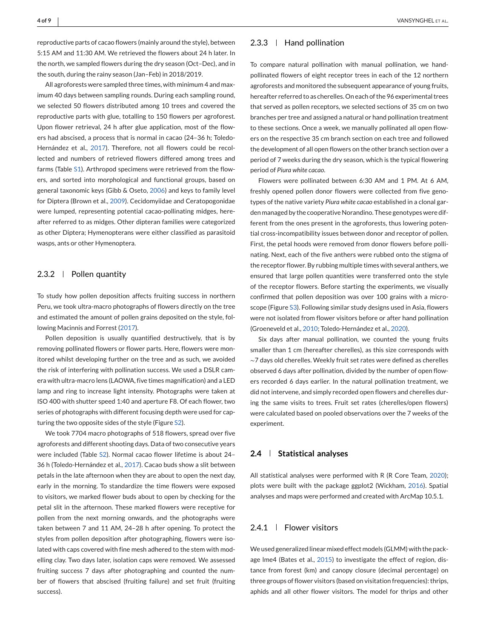reproductive parts of cacao flowers (mainly around the style), between 5:15 AM and 11:30 AM. We retrieved the flowers about 24 h later. In the north, we sampled flowers during the dry season (Oct–Dec), and in the south, during the rainy season (Jan–Feb) in 2018/2019.

All agroforests were sampled three times, with minimum 4 and maximum 40 days between sampling rounds. During each sampling round, we selected 50 flowers distributed among 10 trees and covered the reproductive parts with glue, totalling to 150 flowers per agroforest. Upon flower retrieval, 24 h after glue application, most of the flowers had abscised, a process that is normal in cacao (24–36 h; Toledo-Hernández et al., [2017\)](#page-8-0). Therefore, not all flowers could be recollected and numbers of retrieved flowers differed among trees and farms (Table S1). Arthropod specimens were retrieved from the flowers, and sorted into morphological and functional groups, based on general taxonomic keys (Gibb & Oseto, [2006\)](#page-7-0) and keys to family level for Diptera (Brown et al., [2009\)](#page-7-0). Cecidomyiidae and Ceratopogonidae were lumped, representing potential cacao-pollinating midges, hereafter referred to as midges. Other dipteran families were categorized as other Diptera; Hymenopterans were either classified as parasitoid wasps, ants or other Hymenoptera.

## 2.3.2  $\parallel$  Pollen quantity

To study how pollen deposition affects fruiting success in northern Peru, we took ultra-macro photographs of flowers directly on the tree and estimated the amount of pollen grains deposited on the style, following Macinnis and Forrest [\(2017\)](#page-7-0).

Pollen deposition is usually quantified destructively, that is by removing pollinated flowers or flower parts. Here, flowers were monitored whilst developing further on the tree and as such, we avoided the risk of interfering with pollination success. We used a DSLR camera with ultra-macro lens (LAOWA, five times magnification) and a LED lamp and ring to increase light intensity. Photographs were taken at ISO 400 with shutter speed 1:40 and aperture F8. Of each flower, two series of photographs with different focusing depth were used for capturing the two opposite sides of the style (Figure S2).

We took 7704 macro photographs of 518 flowers, spread over five agroforests and different shooting days. Data of two consecutive years were included (Table S2). Normal cacao flower lifetime is about 24– 36 h (Toledo-Hernández et al., [2017\)](#page-8-0). Cacao buds show a slit between petals in the late afternoon when they are about to open the next day, early in the morning. To standardize the time flowers were exposed to visitors, we marked flower buds about to open by checking for the petal slit in the afternoon. These marked flowers were receptive for pollen from the next morning onwards, and the photographs were taken between 7 and 11 AM, 24–28 h after opening. To protect the styles from pollen deposition after photographing, flowers were isolated with caps covered with fine mesh adhered to the stem with modelling clay. Two days later, isolation caps were removed. We assessed fruiting success 7 days after photographing and counted the number of flowers that abscised (fruiting failure) and set fruit (fruiting success).

#### $2.3.3$  | Hand pollination

To compare natural pollination with manual pollination, we handpollinated flowers of eight receptor trees in each of the 12 northern agroforests and monitored the subsequent appearance of young fruits, hereafter referred to as cherelles. On each of the 96 experimental trees that served as pollen receptors, we selected sections of 35 cm on two branches per tree and assigned a natural or hand pollination treatment to these sections. Once a week, we manually pollinated all open flowers on the respective 35 cm branch section on each tree and followed the development of all open flowers on the other branch section over a period of 7 weeks during the dry season, which is the typical flowering period of *Piura white cacao*.

Flowers were pollinated between 6:30 AM and 1 PM. At 6 AM, freshly opened pollen donor flowers were collected from five genotypes of the native variety *Piura white cacao* established in a clonal garden managed by the cooperative Norandino. These genotypes were different from the ones present in the agroforests, thus lowering potential cross-incompatibility issues between donor and receptor of pollen. First, the petal hoods were removed from donor flowers before pollinating. Next, each of the five anthers were rubbed onto the stigma of the receptor flower. By rubbing multiple times with several anthers, we ensured that large pollen quantities were transferred onto the style of the receptor flowers. Before starting the experiments, we visually confirmed that pollen deposition was over 100 grains with a microscope (Figure S3). Following similar study designs used in Asia, flowers were not isolated from flower visitors before or after hand pollination (Groeneveld et al., [2010;](#page-7-0) Toledo-Hernández et al., [2020\)](#page-8-0).

Six days after manual pollination, we counted the young fruits smaller than 1 cm (hereafter cherelles), as this size corresponds with <sup>∼</sup>7 days old cherelles. Weekly fruit set rates were defined as cherelles observed 6 days after pollination, divided by the number of open flowers recorded 6 days earlier. In the natural pollination treatment, we did not intervene, and simply recorded open flowers and cherelles during the same visits to trees. Fruit set rates (cherelles/open flowers) were calculated based on pooled observations over the 7 weeks of the experiment.

### **2.4 Statistical analyses**

All statistical analyses were performed with R (R Core Team, [2020\)](#page-8-0); plots were built with the package ggplot2 (Wickham, [2016\)](#page-8-0). Spatial analyses and maps were performed and created with ArcMap 10.5.1.

# 2.4.1 | Flower visitors

We used generalized linear mixed effect models (GLMM) with the package lme4 (Bates et al., [2015\)](#page-7-0) to investigate the effect of region, distance from forest (km) and canopy closure (decimal percentage) on three groups of flower visitors (based on visitation frequencies): thrips, aphids and all other flower visitors. The model for thrips and other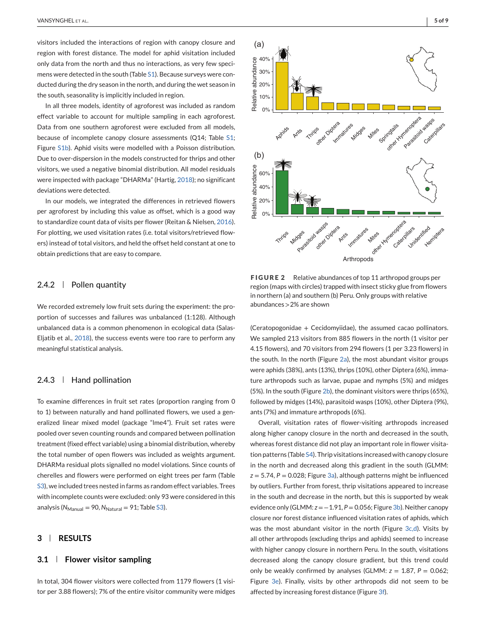visitors included the interactions of region with canopy closure and region with forest distance. The model for aphid visitation included only data from the north and thus no interactions, as very few specimens were detected in the south (Table S1). Because surveys were conducted during the dry season in the north, and during the wet season in the south, seasonality is implicitly included in region.

In all three models, identity of agroforest was included as random effect variable to account for multiple sampling in each agroforest. Data from one southern agroforest were excluded from all models, because of incomplete canopy closure assessments (Q14; Table S1; Figure S1b). Aphid visits were modelled with a Poisson distribution. Due to over-dispersion in the models constructed for thrips and other visitors, we used a negative binomial distribution. All model residuals were inspected with package "DHARMa" (Hartig, [2018\)](#page-7-0); no significant deviations were detected.

In our models, we integrated the differences in retrieved flowers per agroforest by including this value as offset, which is a good way to standardize count data of visits per flower (Reitan & Nielsen, [2016\)](#page-8-0). For plotting, we used visitation rates (i.e. total visitors/retrieved flowers) instead of total visitors, and held the offset held constant at one to obtain predictions that are easy to compare.

#### 2.4.2  $\parallel$  Pollen quantity

We recorded extremely low fruit sets during the experiment: the proportion of successes and failures was unbalanced (1:128). Although unbalanced data is a common phenomenon in ecological data (Salas-Eljatib et al., [2018\)](#page-8-0), the success events were too rare to perform any meaningful statistical analysis.

# 2.4.3  $\parallel$  Hand pollination

To examine differences in fruit set rates (proportion ranging from 0 to 1) between naturally and hand pollinated flowers, we used a generalized linear mixed model (package "lme4"). Fruit set rates were pooled over seven counting rounds and compared between pollination treatment (fixed effect variable) using a binomial distribution, whereby the total number of open flowers was included as weights argument. DHARMa residual plots signalled no model violations. Since counts of cherelles and flowers were performed on eight trees per farm (Table S3), we included trees nested in farms as random effect variables. Trees with incomplete counts were excluded: only 93 were considered in this analysis ( $N_{\text{Manual}} = 90$ ,  $N_{\text{Natural}} = 91$ ; Table S3).

## **3 RESULTS**

#### **3.1 Flower visitor sampling**

In total, 304 flower visitors were collected from 1179 flowers (1 visitor per 3.88 flowers); 7% of the entire visitor community were midges



**FIGURE 2** Relative abundances of top 11 arthropod groups per region (maps with circles) trapped with insect sticky glue from flowers in northern (a) and southern (b) Peru. Only groups with relative abundances >2% are shown

(Ceratopogonidae + Cecidomyiidae), the assumed cacao pollinators. We sampled 213 visitors from 885 flowers in the north (1 visitor per 4.15 flowers), and 70 visitors from 294 flowers (1 per 3.23 flowers) in the south. In the north (Figure 2a), the most abundant visitor groups were aphids (38%), ants (13%), thrips (10%), other Diptera (6%), immature arthropods such as larvae, pupae and nymphs (5%) and midges (5%). In the south (Figure 2b), the dominant visitors were thrips (65%), followed by midges (14%), parasitoid wasps (10%), other Diptera (9%), ants (7%) and immature arthropods (6%).

Overall, visitation rates of flower-visiting arthropods increased along higher canopy closure in the north and decreased in the south, whereas forest distance did not play an important role in flower visitation patterns (Table S4). Thrip visitations increased with canopy closure in the north and decreased along this gradient in the south (GLMM:  $z = 5.74$ ,  $P = 0.028$ ; Figure [3a\)](#page-5-0), although patterns might be influenced by outliers. Further from forest, thrip visitations appeared to increase in the south and decrease in the north, but this is supported by weak evidence only (GLMM: *z* = −1.91, *P* = 0.056; Figure [3b\)](#page-5-0). Neither canopy closure nor forest distance influenced visitation rates of aphids, which was the most abundant visitor in the north (Figure [3c,d\)](#page-5-0). Visits by all other arthropods (excluding thrips and aphids) seemed to increase with higher canopy closure in northern Peru. In the south, visitations decreased along the canopy closure gradient, but this trend could only be weakly confirmed by analyses (GLMM:  $z = 1.87$ ,  $P = 0.062$ ; Figure [3e\)](#page-5-0). Finally, visits by other arthropods did not seem to be affected by increasing forest distance (Figure [3f\)](#page-5-0).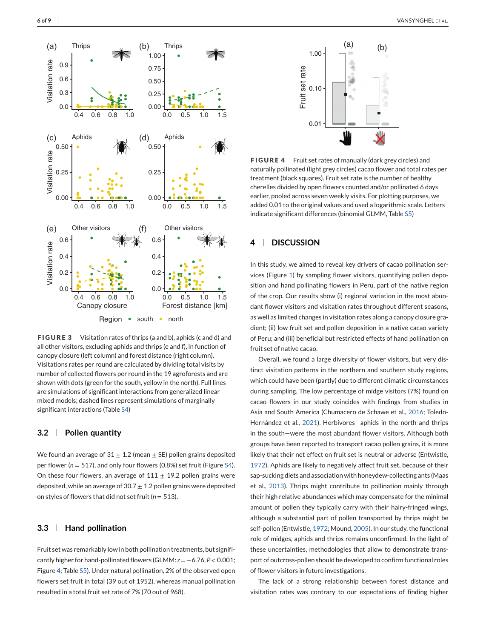<span id="page-5-0"></span>

**FIGURE 3** Visitation rates of thrips (a and b), aphids (c and d) and all other visitors, excluding aphids and thrips (e and f), in function of canopy closure (left column) and forest distance (right column). Visitations rates per round are calculated by dividing total visits by number of collected flowers per round in the 19 agroforests and are shown with dots (green for the south, yellow in the north). Full lines are simulations of significant interactions from generalized linear mixed models; dashed lines represent simulations of marginally significant interactions (Table S4)

#### **3.2 Pollen quantity**

We found an average of  $31 \pm 1.2$  (mean  $\pm$  SE) pollen grains deposited per flower (*n* = 517), and only four flowers (0.8%) set fruit (Figure S4). On these four flowers, an average of  $111 \pm 19.2$  pollen grains were deposited, while an average of  $30.7 \pm 1.2$  pollen grains were deposited on styles of flowers that did not set fruit (*n* = 513).

# **3.3 Hand pollination**

Fruit set was remarkably low in both pollination treatments, but significantly higher for hand-pollinated flowers (GLMM: *z* = −6.76, *P* < 0.001; Figure 4; Table S5). Under natural pollination, 2% of the observed open flowers set fruit in total (39 out of 1952), whereas manual pollination resulted in a total fruit set rate of 7% (70 out of 968).



**FIGURE 4** Fruit set rates of manually (dark grey circles) and naturally pollinated (light grey circles) cacao flower and total rates per treatment (black squares). Fruit set rate is the number of healthy cherelles divided by open flowers counted and/or pollinated 6 days earlier, pooled across seven weekly visits. For plotting purposes, we added 0.01 to the original values and used a logarithmic scale. Letters indicate significant differences (binomial GLMM, Table S5)

# **4 DISCUSSION**

In this study, we aimed to reveal key drivers of cacao pollination services (Figure [1\)](#page-2-0) by sampling flower visitors, quantifying pollen deposition and hand pollinating flowers in Peru, part of the native region of the crop. Our results show (i) regional variation in the most abundant flower visitors and visitation rates throughout different seasons, as well as limited changes in visitation rates along a canopy closure gradient; (ii) low fruit set and pollen deposition in a native cacao variety of Peru; and (iii) beneficial but restricted effects of hand pollination on fruit set of native cacao.

Overall, we found a large diversity of flower visitors, but very distinct visitation patterns in the northern and southern study regions, which could have been (partly) due to different climatic circumstances during sampling. The low percentage of midge visitors (7%) found on cacao flowers in our study coincides with findings from studies in Asia and South America (Chumacero de Schawe et al., [2016;](#page-7-0) Toledo-Hernández et al., [2021\)](#page-8-0). Herbivores—aphids in the north and thrips in the south—were the most abundant flower visitors. Although both groups have been reported to transport cacao pollen grains, it is more likely that their net effect on fruit set is neutral or adverse (Entwistle, [1972\)](#page-7-0). Aphids are likely to negatively affect fruit set, because of their sap-sucking diets and association with honeydew-collecting ants (Maas et al., [2013\)](#page-7-0). Thrips might contribute to pollination mainly through their high relative abundances which may compensate for the minimal amount of pollen they typically carry with their hairy-fringed wings, although a substantial part of pollen transported by thrips might be self-pollen (Entwistle, [1972;](#page-7-0) Mound, [2005\)](#page-8-0). In our study, the functional role of midges, aphids and thrips remains unconfirmed. In the light of these uncertainties, methodologies that allow to demonstrate transport of outcross-pollen should be developed to confirm functional roles of flower visitors in future investigations.

The lack of a strong relationship between forest distance and visitation rates was contrary to our expectations of finding higher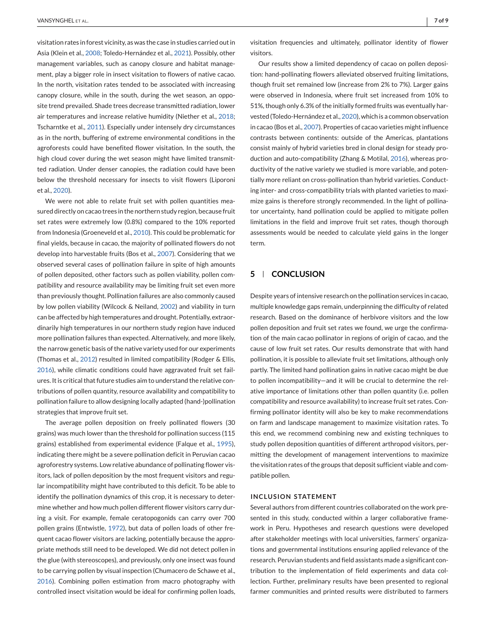visitation rates in forest vicinity, as was the case in studies carried out in Asia (Klein et al., [2008;](#page-7-0) Toledo-Hernández et al., [2021\)](#page-8-0). Possibly, other management variables, such as canopy closure and habitat management, play a bigger role in insect visitation to flowers of native cacao. In the north, visitation rates tended to be associated with increasing canopy closure, while in the south, during the wet season, an opposite trend prevailed. Shade trees decrease transmitted radiation, lower air temperatures and increase relative humidity (Niether et al., [2018;](#page-8-0) Tscharntke et al., [2011\)](#page-8-0). Especially under intensely dry circumstances as in the north, buffering of extreme environmental conditions in the agroforests could have benefited flower visitation. In the south, the high cloud cover during the wet season might have limited transmitted radiation. Under denser canopies, the radiation could have been below the threshold necessary for insects to visit flowers (Liporoni et al., [2020\)](#page-7-0).

We were not able to relate fruit set with pollen quantities measured directly on cacao trees in the northern study region, because fruit set rates were extremely low (0.8%) compared to the 10% reported from Indonesia (Groeneveld et al., [2010\)](#page-7-0). This could be problematic for final yields, because in cacao, the majority of pollinated flowers do not develop into harvestable fruits (Bos et al., [2007\)](#page-7-0). Considering that we observed several cases of pollination failure in spite of high amounts of pollen deposited, other factors such as pollen viability, pollen compatibility and resource availability may be limiting fruit set even more than previously thought. Pollination failures are also commonly caused by low pollen viability (Wilcock & Neiland, [2002\)](#page-8-0) and viability in turn can be affected by high temperatures and drought. Potentially, extraordinarily high temperatures in our northern study region have induced more pollination failures than expected. Alternatively, and more likely, the narrow genetic basis of the native variety used for our experiments (Thomas et al., [2012\)](#page-8-0) resulted in limited compatibility (Rodger & Ellis, [2016\)](#page-8-0), while climatic conditions could have aggravated fruit set failures. It is critical that future studies aim to understand the relative contributions of pollen quantity, resource availability and compatibility to pollination failure to allow designing locally adapted (hand-)pollination strategies that improve fruit set.

The average pollen deposition on freely pollinated flowers (30 grains) was much lower than the threshold for pollination success (115 grains) established from experimental evidence (Falque et al., [1995\)](#page-7-0), indicating there might be a severe pollination deficit in Peruvian cacao agroforestry systems. Low relative abundance of pollinating flower visitors, lack of pollen deposition by the most frequent visitors and regular incompatibility might have contributed to this deficit. To be able to identify the pollination dynamics of this crop, it is necessary to determine whether and how much pollen different flower visitors carry during a visit. For example, female ceratopogonids can carry over 700 pollen grains (Entwistle, [1972\)](#page-7-0), but data of pollen loads of other frequent cacao flower visitors are lacking, potentially because the appropriate methods still need to be developed. We did not detect pollen in the glue (with stereoscopes), and previously, only one insect was found to be carrying pollen by visual inspection (Chumacero de Schawe et al., [2016\)](#page-7-0). Combining pollen estimation from macro photography with controlled insect visitation would be ideal for confirming pollen loads,

visitation frequencies and ultimately, pollinator identity of flower visitors.

Our results show a limited dependency of cacao on pollen deposition: hand-pollinating flowers alleviated observed fruiting limitations, though fruit set remained low (increase from 2% to 7%). Larger gains were observed in Indonesia, where fruit set increased from 10% to 51%, though only 6.3% of the initially formed fruits was eventually harvested (Toledo-Hernández et al., [2020\)](#page-8-0), which is a common observation in cacao (Bos et al., [2007\)](#page-7-0). Properties of cacao varieties might influence contrasts between continents: outside of the Americas, plantations consist mainly of hybrid varieties bred in clonal design for steady production and auto-compatibility (Zhang & Motilal, [2016\)](#page-8-0), whereas productivity of the native variety we studied is more variable, and potentially more reliant on cross-pollination than hybrid varieties. Conducting inter- and cross-compatibility trials with planted varieties to maximize gains is therefore strongly recommended. In the light of pollinator uncertainty, hand pollination could be applied to mitigate pollen limitations in the field and improve fruit set rates, though thorough assessments would be needed to calculate yield gains in the longer term.

# **5 CONCLUSION**

Despite years of intensive research on the pollination services in cacao, multiple knowledge gaps remain, underpinning the difficulty of related research. Based on the dominance of herbivore visitors and the low pollen deposition and fruit set rates we found, we urge the confirmation of the main cacao pollinator in regions of origin of cacao, and the cause of low fruit set rates. Our results demonstrate that with hand pollination, it is possible to alleviate fruit set limitations, although only partly. The limited hand pollination gains in native cacao might be due to pollen incompatibility—and it will be crucial to determine the relative importance of limitations other than pollen quantity (i.e. pollen compatibility and resource availability) to increase fruit set rates. Confirming pollinator identity will also be key to make recommendations on farm and landscape management to maximize visitation rates. To this end, we recommend combining new and existing techniques to study pollen deposition quantities of different arthropod visitors, permitting the development of management interventions to maximize the visitation rates of the groups that deposit sufficient viable and compatible pollen.

#### **INCLUSION STATEMENT**

Several authors from different countries collaborated on the work presented in this study, conducted within a larger collaborative framework in Peru. Hypotheses and research questions were developed after stakeholder meetings with local universities, farmers' organizations and governmental institutions ensuring applied relevance of the research. Peruvian students and field assistants made a significant contribution to the implementation of field experiments and data collection. Further, preliminary results have been presented to regional farmer communities and printed results were distributed to farmers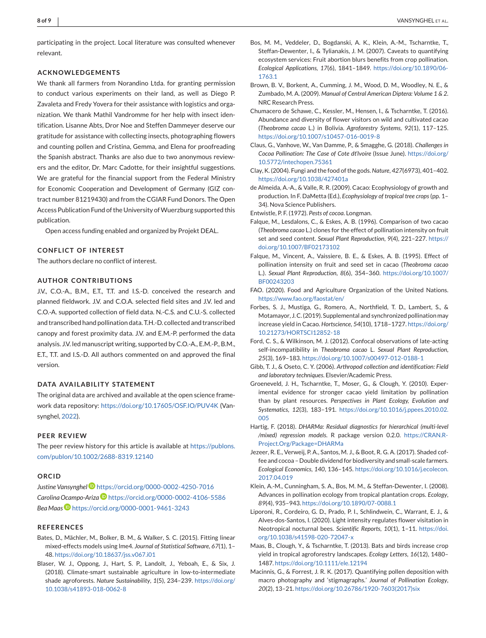<span id="page-7-0"></span>participating in the project. Local literature was consulted whenever relevant.

#### **ACKNOWLEDGEMENTS**

We thank all farmers from Norandino Ltda. for granting permission to conduct various experiments on their land, as well as Diego P. Zavaleta and Fredy Yovera for their assistance with logistics and organization. We thank Mathil Vandromme for her help with insect identification. Lisanne Abts, Dror Noe and Steffen Dammeyer deserve our gratitude for assistance with collecting insects, photographing flowers and counting pollen and Cristina, Gemma, and Elena for proofreading the Spanish abstract. Thanks are also due to two anonymous reviewers and the editor, Dr. Marc Cadotte, for their insightful suggestions. We are grateful for the financial support from the Federal Ministry for Economic Cooperation and Development of Germany (GIZ contract number 81219430) and from the CGIAR Fund Donors. The Open Access Publication Fund of the University of Wuerzburg supported this publication.

Open access funding enabled and organized by Projekt DEAL.

#### **CONFLICT OF INTEREST**

The authors declare no conflict of interest.

#### **AUTHOR CONTRIBUTIONS**

J.V., C.O.-A., B.M., E.T., T.T. and I.S.-D. conceived the research and planned fieldwork. J.V. and C.O.A. selected field sites and J.V. led and C.O.-A. supported collection of field data. N.-C.S. and C.U.-S. collected and transcribed hand pollination data. T.H.-D. collected and transcribed canopy and forest proximity data. J.V. and E.M.-P. performed the data analysis. J.V. led manuscript writing, supported by C.O.-A., E.M.-P., B.M., E.T., T.T. and I.S.-D. All authors commented on and approved the final version.

#### **DATA AVAILABILITY STATEMENT**

The original data are archived and available at the open science framework data repository: <https://doi.org/10.17605/OSF.IO/PUV4K> (Vansynghel, [2022\)](#page-8-0).

#### **PEER REVIEW**

The peer review history for this article is available at [https://publons.](https://publons.com/publon/10.1002/2688-8319.12140) [com/publon/10.1002/2688-8319.12140](https://publons.com/publon/10.1002/2688-8319.12140)

#### **ORCID**

*Justine Vansynghe[l](https://orcid.org/0000-0002-4250-7016)* <https://orcid.org/0000-0002-4250-7016> Carolina Ocampo-Ariza<sup>D</sup> <https://orcid.org/0000-0002-4106-5586> *Bea Maa[s](https://orcid.org/0000-0001-9461-3243)* <https://orcid.org/0000-0001-9461-3243>

#### **REFERENCES**

- Bates, D., Mächler, M., Bolker, B. M., & Walker, S. C. (2015). Fitting linear mixed-effects models using lme4. *Journal of Statistical Software*, *67*(1), 1– 48. <https://doi.org/10.18637/jss.v067.i01>
- Blaser, W. J., Oppong, J., Hart, S. P., Landolt, J., Yeboah, E., & Six, J. (2018). Climate-smart sustainable agriculture in low-to-intermediate shade agroforests. *Nature Sustainability*, *1*(5), 234–239. [https://doi.org/](https://doi.org/10.1038/s41893-018-0062-8) [10.1038/s41893-018-0062-8](https://doi.org/10.1038/s41893-018-0062-8)
- Bos, M. M., Veddeler, D., Bogdanski, A. K., Klein, A.-M., Tscharntke, T., Steffan-Dewenter, I., & Tylianakis, J. M. (2007). Caveats to quantifying ecosystem services: Fruit abortion blurs benefits from crop pollination. *Ecological Applications*, *17*(6), 1841–1849. [https://doi.org/10.1890/06-](https://doi.org/10.1890/06-1763.1) [1763.1](https://doi.org/10.1890/06-1763.1)
- Brown, B. V., Borkent, A., Cumming, J. M., Wood, D. M., Woodley, N. E., & Zumbado, M. A. (2009). *Manual of Central American Diptera: Volume 1 & 2*. NRC Research Press.
- Chumacero de Schawe, C., Kessler, M., Hensen, I., & Tscharntke, T. (2016). Abundance and diversity of flower visitors on wild and cultivated cacao (*Theobroma cacao* L.) in Bolivia. *Agroforestry Systems*, *92*(1), 117–125. <https://doi.org/10.1007/s10457-016-0019-8>
- Claus, G., Vanhove, W., Van Damme, P., & Smagghe, G. (2018). *Challenges in Cocoa Pollination: The Case of Cote dt'Ivoire* (Issue June). [https://doi.org/](https://doi.org/10.5772/intechopen.75361) [10.5772/intechopen.75361](https://doi.org/10.5772/intechopen.75361)
- Clay, K. (2004). Fungi and the food of the gods.*Nature*, *427*(6973), 401–402. <https://doi.org/10.1038/427401a>
- de Almeida, A.-A., & Valle, R. R. (2009). Cacao: Ecophysiology of growth and production. In F. DaMetta (Ed.), *Ecophysiology of tropical tree crops* (pp. 1– 34). Nova Science Publishers.
- Entwistle, P. F. (1972). *Pests of cocoa*. Longman.
- Falque, M., Lesdalons, C., & Eskes, A. B. (1996). Comparison of two cacao (*Theobroma cacao* L.) clones for the effect of pollination intensity on fruit set and seed content. *Sexual Plant Reproduction*, *9*(4), 221–227. [https://](https://doi.org/10.1007/BF02173102) [doi.org/10.1007/BF02173102](https://doi.org/10.1007/BF02173102)
- Falque, M., Vincent, A., Vaissiere, B. E., & Eskes, A. B. (1995). Effect of pollination intensity on fruit and seed set in cacao (*Theobroma cacao* L.). *Sexual Plant Reproduction*, *8*(6), 354–360. [https://doi.org/10.1007/](https://doi.org/10.1007/BF00243203) [BF00243203](https://doi.org/10.1007/BF00243203)
- FAO. (2020). Food and Agriculture Organization of the United Nations. <https://www.fao.org/faostat/en/>
- Forbes, S. J., Mustiga, G., Romero, A., Northfield, T. D., Lambert, S., & Motamayor, J. C. (2019). Supplemental and synchronized pollination may increase yield in Cacao. *Hortscience*, *54*(10), 1718–1727. [https://doi.org/](https://doi.org/10.21273/HORTSCI12852-18) [10.21273/HORTSCI12852-18](https://doi.org/10.21273/HORTSCI12852-18)
- Ford, C. S., & Wilkinson, M. J. (2012). Confocal observations of late-acting self-incompatibility in *Theobroma cacao* L. *Sexual Plant Reproduction*, *25*(3), 169–183. <https://doi.org/10.1007/s00497-012-0188-1>
- Gibb, T. J., & Oseto, C. Y. (2006). *Arthropod collection and identification: Field and laboratory techniques*. Elsevier/Academic Press.
- Groeneveld, J. H., Tscharntke, T., Moser, G., & Clough, Y. (2010). Experimental evidence for stronger cacao yield limitation by pollination than by plant resources. *Perspectives in Plant Ecology, Evolution and Systematics*, *12*(3), 183–191. [https://doi.org/10.1016/j.ppees.2010.02.](https://doi.org/10.1016/j.ppees.2010.02.005) [005](https://doi.org/10.1016/j.ppees.2010.02.005)
- Hartig, F. (2018). *DHARMa: Residual diagnostics for hierarchical (multi-level /mixed) regression models*. R package version 0.2.0. [https://CRAN.R-](https://CRAN.R-Project.Org/Package=DHARMa)[Project.Org/Package=DHARMa](https://CRAN.R-Project.Org/Package=DHARMa)
- Jezeer, R. E., Verweij, P. A., Santos, M. J., & Boot, R. G. A. (2017). Shaded coffee and cocoa – Double dividend for biodiversity and small-scale farmers. *Ecological Economics*, *140*, 136–145. [https://doi.org/10.1016/j.ecolecon.](https://doi.org/10.1016/j.ecolecon.2017.04.019) [2017.04.019](https://doi.org/10.1016/j.ecolecon.2017.04.019)
- Klein, A.-M., Cunningham, S. A., Bos, M. M., & Steffan-Dewenter, I. (2008). Advances in pollination ecology from tropical plantation crops. *Ecology*, *89*(4), 935–943. <https://doi.org/10.1890/07-0088.1>
- Liporoni, R., Cordeiro, G. D., Prado, P. I., Schlindwein, C., Warrant, E. J., & Alves-dos-Santos, I. (2020). Light intensity regulates flower visitation in Neotropical nocturnal bees. *Scientific Reports*, *10*(1), 1–11. [https://doi.](https://doi.org/10.1038/s41598-020-72047-x) [org/10.1038/s41598-020-72047-x](https://doi.org/10.1038/s41598-020-72047-x)
- Maas, B., Clough, Y., & Tscharntke, T. (2013). Bats and birds increase crop yield in tropical agroforestry landscapes. *Ecology Letters*, *16*(12), 1480– 1487. <https://doi.org/10.1111/ele.12194>
- Macinnis, G., & Forrest, J. R. K. (2017). Quantifying pollen deposition with macro photography and 'stigmagraphs.' *Journal of Pollination Ecology*, *20*(2), 13–21. [https://doi.org/10.26786/1920-7603\(2017\)six](https://doi.org/10.26786/1920-7603(2017)six)